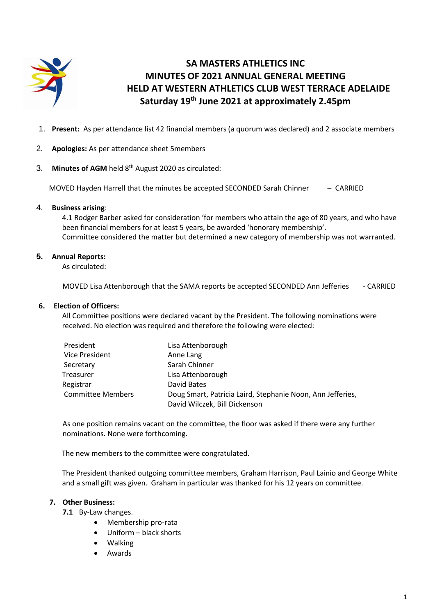

# **SA MASTERS ATHLETICS INC MINUTES OF 2021 ANNUAL GENERAL MEETING HELD AT WESTERN ATHLETICS CLUB WEST TERRACE ADELAIDE Saturday 19 th June 2021 at approximately 2.45pm**

- 1. **Present:** As per attendance list 42 financial members (a quorum was declared) and 2 associate members
- 2. **Apologies:** As per attendance sheet 5members
- 3. Minutes of AGM held 8<sup>th</sup> August 2020 as circulated:

MOVED Hayden Harrell that the minutes be accepted SECONDED Sarah Chinner – CARRIED

## 4. **Business arising**:

4.1 Rodger Barber asked for consideration 'for members who attain the age of 80 years, and who have been financial members for at least 5 years, be awarded 'honorary membership'. Committee considered the matter but determined a new category of membership was not warranted.

# **5. Annual Reports:**

As circulated:

MOVED Lisa Attenborough that the SAMA reports be accepted SECONDED Ann Jefferies - CARRIED

## **6. Election of Officers:**

 All Committee positions were declared vacant by the President. The following nominations were received. No election was required and therefore the following were elected:

| President                | Lisa Attenborough                                                                           |
|--------------------------|---------------------------------------------------------------------------------------------|
| Vice President           | Anne Lang                                                                                   |
| Secretary                | Sarah Chinner                                                                               |
| Treasurer                | Lisa Attenborough                                                                           |
| Registrar                | David Bates                                                                                 |
| <b>Committee Members</b> | Doug Smart, Patricia Laird, Stephanie Noon, Ann Jefferies,<br>David Wilczek, Bill Dickenson |

As one position remains vacant on the committee, the floor was asked if there were any further nominations. None were forthcoming.

The new members to the committee were congratulated.

The President thanked outgoing committee members, Graham Harrison, Paul Lainio and George White and a small gift was given. Graham in particular was thanked for his 12 years on committee.

#### **7. Other Business:**

**7.1** By-Law changes.

- Membership pro-rata
- Uniform black shorts
- Walking
- Awards